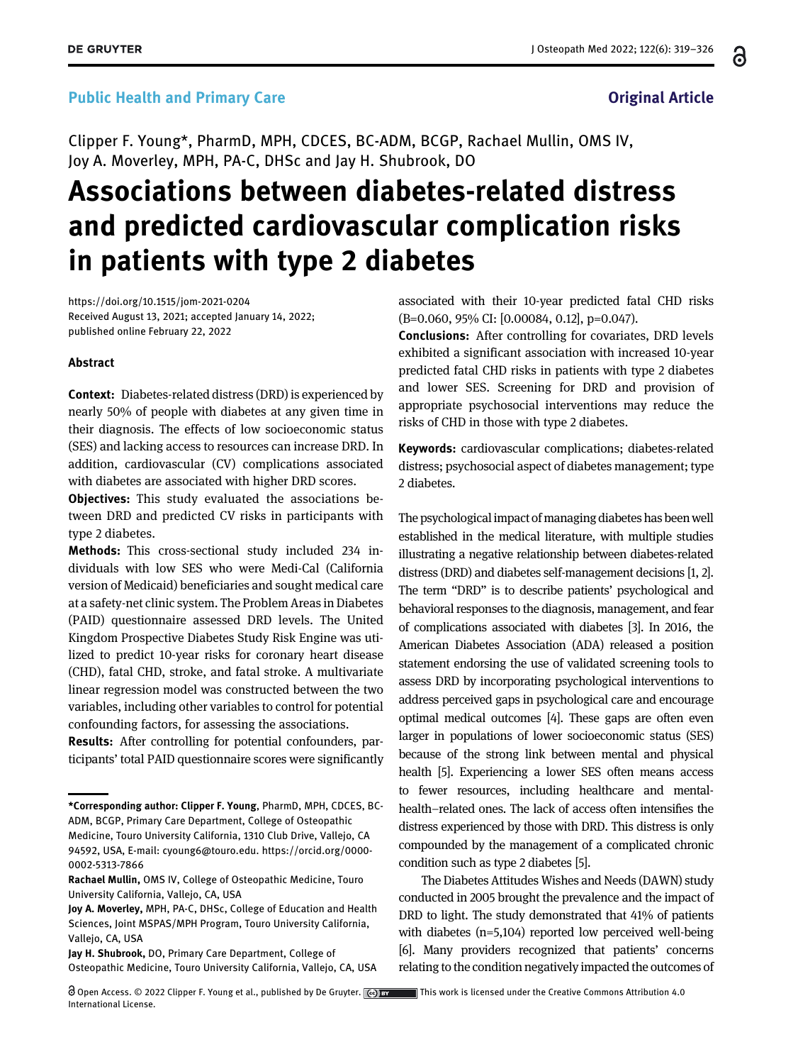### Public Health and Primary Care **Driginal Article Original Article**

Clipper F. Young\*, PharmD, MPH, CDCES, BC-ADM, BCGP, Rachael Mullin, OMS IV, Joy A. Moverley, MPH, PA-C, DHSc and Jay H. Shubrook, DO

# Associations between diabetes-related distress and predicted cardiovascular complication risks in patients with type 2 diabetes

<https://doi.org/10.1515/jom-2021-0204> Received August 13, 2021; accepted January 14, 2022; published online February 22, 2022

#### Abstract

Context: Diabetes-related distress (DRD) is experienced by nearly 50% of people with diabetes at any given time in their diagnosis. The effects of low socioeconomic status (SES) and lacking access to resources can increase DRD. In addition, cardiovascular (CV) complications associated with diabetes are associated with higher DRD scores.

Objectives: This study evaluated the associations between DRD and predicted CV risks in participants with type 2 diabetes.

Methods: This cross-sectional study included 234 individuals with low SES who were Medi-Cal (California version of Medicaid) beneficiaries and sought medical care at a safety-net clinic system. The Problem Areas in Diabetes (PAID) questionnaire assessed DRD levels. The United Kingdom Prospective Diabetes Study Risk Engine was utilized to predict 10-year risks for coronary heart disease (CHD), fatal CHD, stroke, and fatal stroke. A multivariate linear regression model was constructed between the two variables, including other variables to control for potential confounding factors, for assessing the associations.

Results: After controlling for potential confounders, participants' total PAID questionnaire scores were significantly

Jay H. Shubrook, DO, Primary Care Department, College of Osteopathic Medicine, Touro University California, Vallejo, CA, USA associated with their 10-year predicted fatal CHD risks (B=0.060, 95% CI: [0.00084, 0.12], p=0.047).

Conclusions: After controlling for covariates, DRD levels exhibited a significant association with increased 10-year predicted fatal CHD risks in patients with type 2 diabetes and lower SES. Screening for DRD and provision of appropriate psychosocial interventions may reduce the risks of CHD in those with type 2 diabetes.

Keywords: cardiovascular complications; diabetes-related distress; psychosocial aspect of diabetes management; type 2 diabetes.

The psychological impact of managing diabetes has been well established in the medical literature, with multiple studies illustrating a negative relationship between diabetes-related distress (DRD) and diabetes self-management decisions [[1](#page-6-0), [2\]](#page-6-1). The term "DRD" is to describe patients' psychological and behavioral responses to the diagnosis, management, and fear of complications associated with diabetes [[3\]](#page-6-2). In 2016, the American Diabetes Association (ADA) released a position statement endorsing the use of validated screening tools to assess DRD by incorporating psychological interventions to address perceived gaps in psychological care and encourage optimal medical outcomes [\[4\]](#page-6-3). These gaps are often even larger in populations of lower socioeconomic status (SES) because of the strong link between mental and physical health [\[5\]](#page-7-0). Experiencing a lower SES often means access to fewer resources, including healthcare and mentalhealth–related ones. The lack of access often intensifies the distress experienced by those with DRD. This distress is only compounded by the management of a complicated chronic condition such as type 2 diabetes [\[5](#page-7-0)].

The Diabetes Attitudes Wishes and Needs (DAWN) study conducted in 2005 brought the prevalence and the impact of DRD to light. The study demonstrated that 41% of patients with diabetes (n=5,104) reported low perceived well-being [\[6\]](#page-7-1). Many providers recognized that patients' concerns relating to the condition negatively impacted the outcomes of

႕

<sup>\*</sup>Corresponding author: Clipper F. Young, PharmD, MPH, CDCES, BC-ADM, BCGP, Primary Care Department, College of Osteopathic Medicine, Touro University California, 1310 Club Drive, Vallejo, CA 94592, USA, E-mail: [cyoung6@touro.edu](mailto:cyoung6@touro.edu). [https://orcid.org/0000-](https://orcid.org/0000-0002-5313-7866) [0002-5313-7866](https://orcid.org/0000-0002-5313-7866)

Rachael Mullin, OMS IV, College of Osteopathic Medicine, Touro University California, Vallejo, CA, USA

Joy A. Moverley, MPH, PA-C, DHSc, College of Education and Health Sciences, Joint MSPAS/MPH Program, Touro University California, Vallejo, CA, USA

Open Access. © 2022 Clipper F. Young et al., published by De Gruyter. This work is licensed under the Creative Commons Attribution 4.0 International License.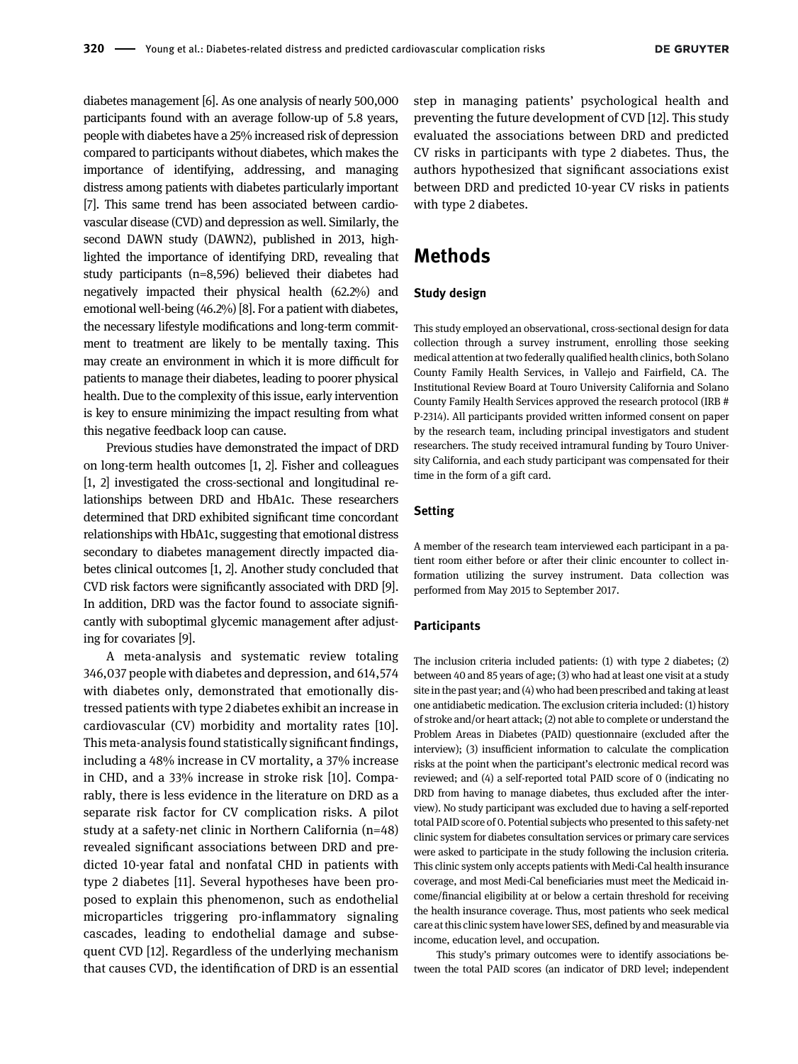diabetes management [\[6](#page-7-1)]. As one analysis of nearly 500,000 participants found with an average follow-up of 5.8 years, people with diabetes have a 25% increased risk of depression compared to participants without diabetes, which makes the importance of identifying, addressing, and managing distress among patients with diabetes particularly important [\[7](#page-7-2)]. This same trend has been associated between cardiovascular disease (CVD) and depression as well. Similarly, the second DAWN study (DAWN2), published in 2013, highlighted the importance of identifying DRD, revealing that study participants (n=8,596) believed their diabetes had negatively impacted their physical health (62.2%) and emotional well-being (46.2%) [[8\]](#page-7-3). For a patient with diabetes, the necessary lifestyle modifications and long-term commitment to treatment are likely to be mentally taxing. This may create an environment in which it is more difficult for patients to manage their diabetes, leading to poorer physical health. Due to the complexity of this issue, early intervention is key to ensure minimizing the impact resulting from what this negative feedback loop can cause.

Previous studies have demonstrated the impact of DRD on long-term health outcomes [[1,](#page-6-0) [2](#page-6-1)]. Fisher and colleagues [\[1,](#page-6-0) [2](#page-6-1)] investigated the cross-sectional and longitudinal relationships between DRD and HbA1c. These researchers determined that DRD exhibited significant time concordant relationships with HbA1c, suggesting that emotional distress secondary to diabetes management directly impacted diabetes clinical outcomes [[1](#page-6-0), [2](#page-6-1)]. Another study concluded that CVD risk factors were significantly associated with DRD [[9](#page-7-4)]. In addition, DRD was the factor found to associate significantly with suboptimal glycemic management after adjusting for covariates [[9\]](#page-7-4).

A meta-analysis and systematic review totaling 346,037 people with diabetes and depression, and 614,574 with diabetes only, demonstrated that emotionally distressed patients with type 2 diabetes exhibit an increase in cardiovascular (CV) morbidity and mortality rates [[10](#page-7-5)]. This meta-analysis found statistically significant findings, including a 48% increase in CV mortality, a 37% increase in CHD, and a 33% increase in stroke risk [\[10\]](#page-7-5). Comparably, there is less evidence in the literature on DRD as a separate risk factor for CV complication risks. A pilot study at a safety-net clinic in Northern California (n=48) revealed significant associations between DRD and predicted 10-year fatal and nonfatal CHD in patients with type 2 diabetes [[11](#page-7-6)]. Several hypotheses have been proposed to explain this phenomenon, such as endothelial microparticles triggering pro-inflammatory signaling cascades, leading to endothelial damage and subsequent CVD [\[12](#page-7-7)]. Regardless of the underlying mechanism that causes CVD, the identification of DRD is an essential step in managing patients' psychological health and preventing the future development of CVD [\[12\]](#page-7-7). This study evaluated the associations between DRD and predicted CV risks in participants with type 2 diabetes. Thus, the authors hypothesized that significant associations exist between DRD and predicted 10-year CV risks in patients with type 2 diabetes.

### Methods

### Study design

This study employed an observational, cross-sectional design for data collection through a survey instrument, enrolling those seeking medical attention at two federally qualified health clinics, both Solano County Family Health Services, in Vallejo and Fairfield, CA. The Institutional Review Board at Touro University California and Solano County Family Health Services approved the research protocol (IRB # P-2314). All participants provided written informed consent on paper by the research team, including principal investigators and student researchers. The study received intramural funding by Touro University California, and each study participant was compensated for their time in the form of a gift card.

#### Setting

A member of the research team interviewed each participant in a patient room either before or after their clinic encounter to collect information utilizing the survey instrument. Data collection was performed from May 2015 to September 2017.

#### **Participants**

The inclusion criteria included patients: (1) with type 2 diabetes; (2) between 40 and 85 years of age; (3) who had at least one visit at a study site in the past year; and (4) who had been prescribed and taking atleast one antidiabetic medication. The exclusion criteria included: (1) history of stroke and/or heart attack; (2) not able to complete or understand the Problem Areas in Diabetes (PAID) questionnaire (excluded after the interview); (3) insufficient information to calculate the complication risks at the point when the participant's electronic medical record was reviewed; and (4) a self-reported total PAID score of 0 (indicating no DRD from having to manage diabetes, thus excluded after the interview). No study participant was excluded due to having a self-reported total PAID score of 0. Potential subjects who presented to this safety-net clinic system for diabetes consultation services or primary care services were asked to participate in the study following the inclusion criteria. This clinic system only accepts patients with Medi-Cal health insurance coverage, and most Medi-Cal beneficiaries must meet the Medicaid income/financial eligibility at or below a certain threshold for receiving the health insurance coverage. Thus, most patients who seek medical care at this clinic system havelower SES, defined by and measurable via income, education level, and occupation.

This study's primary outcomes were to identify associations between the total PAID scores (an indicator of DRD level; independent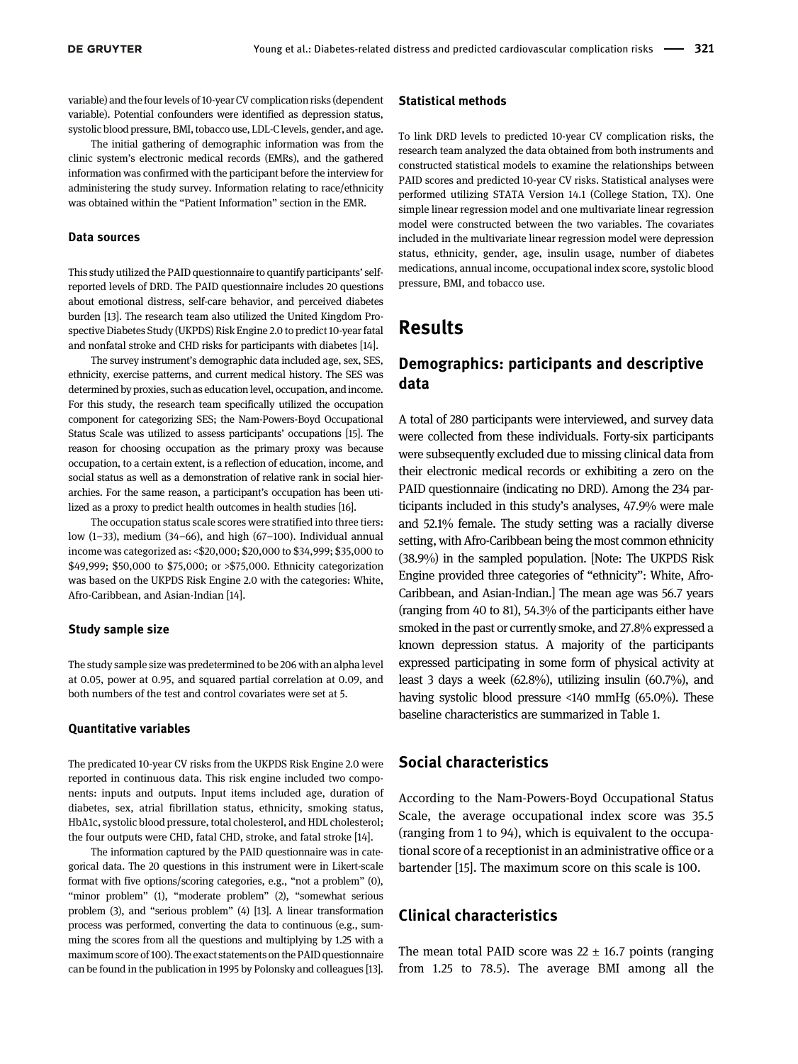variable) and the four levels of 10-year CV complication risks (dependent variable). Potential confounders were identified as depression status, systolic blood pressure, BMI, tobacco use, LDL-Clevels, gender, and age.

The initial gathering of demographic information was from the clinic system's electronic medical records (EMRs), and the gathered information was confirmed with the participant before the interview for administering the study survey. Information relating to race/ethnicity was obtained within the "Patient Information" section in the EMR.

#### Data sources

This study utilized the PAID questionnaire to quantify participants' selfreported levels of DRD. The PAID questionnaire includes 20 questions about emotional distress, self-care behavior, and perceived diabetes burden [[13\]](#page-7-8). The research team also utilized the United Kingdom Prospective Diabetes Study (UKPDS) Risk Engine 2.0 to predict 10-year fatal and nonfatal stroke and CHD risks for participants with diabetes [[14](#page-7-9)].

The survey instrument's demographic data included age, sex, SES, ethnicity, exercise patterns, and current medical history. The SES was determined by proxies, such as education level, occupation, and income. For this study, the research team specifically utilized the occupation component for categorizing SES; the Nam-Powers-Boyd Occupational Status Scale was utilized to assess participants' occupations [\[15\]](#page-7-10). The reason for choosing occupation as the primary proxy was because occupation, to a certain extent, is a reflection of education, income, and social status as well as a demonstration of relative rank in social hierarchies. For the same reason, a participant's occupation has been utilized as a proxy to predict health outcomes in health studies [[16\]](#page-7-11).

The occupation status scale scores were stratified into three tiers: low (1–33), medium (34–66), and high (67–100). Individual annual income was categorized as: <\$20,000; \$20,000 to \$34,999; \$35,000 to \$49,999; \$50,000 to \$75,000; or >\$75,000. Ethnicity categorization was based on the UKPDS Risk Engine 2.0 with the categories: White, Afro-Caribbean, and Asian-Indian [\[14\]](#page-7-9).

#### Study sample size

The study sample size was predetermined to be 206 with an alpha level at 0.05, power at 0.95, and squared partial correlation at 0.09, and both numbers of the test and control covariates were set at 5.

#### Quantitative variables

The predicated 10-year CV risks from the UKPDS Risk Engine 2.0 were reported in continuous data. This risk engine included two components: inputs and outputs. Input items included age, duration of diabetes, sex, atrial fibrillation status, ethnicity, smoking status, HbA1c, systolic blood pressure, total cholesterol, and HDL cholesterol; the four outputs were CHD, fatal CHD, stroke, and fatal stroke [[14](#page-7-9)].

The information captured by the PAID questionnaire was in categorical data. The 20 questions in this instrument were in Likert-scale format with five options/scoring categories, e.g., "not a problem" (0), "minor problem" (1), "moderate problem" (2), "somewhat serious problem (3), and "serious problem" (4) [[13\]](#page-7-8). A linear transformation process was performed, converting the data to continuous (e.g., summing the scores from all the questions and multiplying by 1.25 with a maximum score of 100). The exact statements on the PAID questionnaire can be found in the publication in 1995 by Polonsky and colleagues [\[13\]](#page-7-8).

#### Statistical methods

To link DRD levels to predicted 10-year CV complication risks, the research team analyzed the data obtained from both instruments and constructed statistical models to examine the relationships between PAID scores and predicted 10-year CV risks. Statistical analyses were performed utilizing STATA Version 14.1 (College Station, TX). One simple linear regression model and one multivariate linear regression model were constructed between the two variables. The covariates included in the multivariate linear regression model were depression status, ethnicity, gender, age, insulin usage, number of diabetes medications, annual income, occupational index score, systolic blood pressure, BMI, and tobacco use.

### Results

### Demographics: participants and descriptive data

A total of 280 participants were interviewed, and survey data were collected from these individuals. Forty-six participants were subsequently excluded due to missing clinical data from their electronic medical records or exhibiting a zero on the PAID questionnaire (indicating no DRD). Among the 234 participants included in this study's analyses, 47.9% were male and 52.1% female. The study setting was a racially diverse setting, with Afro-Caribbean being the most common ethnicity (38.9%) in the sampled population. [Note: The UKPDS Risk Engine provided three categories of "ethnicity": White, Afro-Caribbean, and Asian-Indian.] The mean age was 56.7 years (ranging from 40 to 81), 54.3% of the participants either have smoked in the past or currently smoke, and 27.8% expressed a known depression status. A majority of the participants expressed participating in some form of physical activity at least 3 days a week (62.8%), utilizing insulin (60.7%), and having systolic blood pressure <140 mmHg (65.0%). These baseline characteristics are summarized in [Table 1](#page-3-0).

### Social characteristics

According to the Nam-Powers-Boyd Occupational Status Scale, the average occupational index score was 35.5 (ranging from 1 to 94), which is equivalent to the occupational score of a receptionist in an administrative office or a bartender [\[15\]](#page-7-10). The maximum score on this scale is 100.

### Clinical characteristics

The mean total PAID score was  $22 \pm 16.7$  points (ranging from 1.25 to 78.5). The average BMI among all the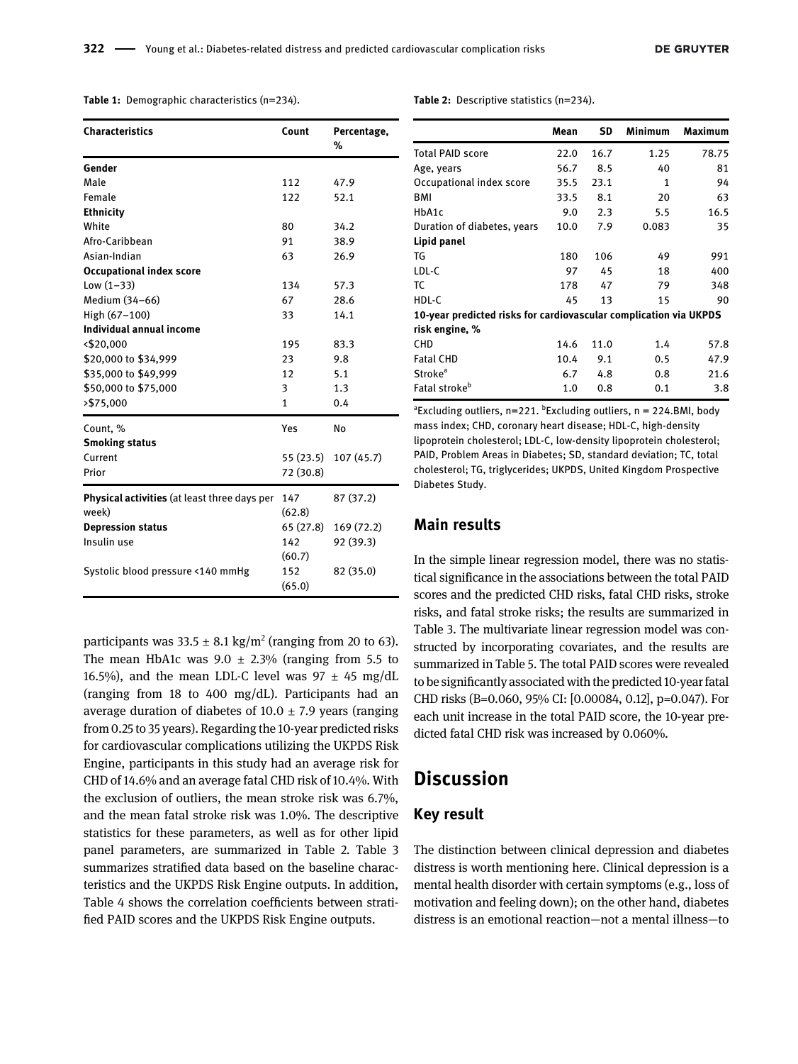<span id="page-3-0"></span>Table 1: Demographic characteristics (n=234).

| <b>Characteristics</b>                              | Count     | Percentage,<br>% |
|-----------------------------------------------------|-----------|------------------|
| Gender                                              |           |                  |
| Male                                                | 112       | 47.9             |
| Female                                              | 122       | 52.1             |
| <b>Ethnicity</b>                                    |           |                  |
| White                                               | 80        | 34.2             |
| Afro-Caribbean                                      | 91        | 38.9             |
| Asian-Indian                                        | 63        | 26.9             |
| <b>Occupational index score</b>                     |           |                  |
| Low $(1-33)$                                        | 134       | 57.3             |
| Medium (34-66)                                      | 67        | 28.6             |
| High (67-100)                                       | 33        | 14.1             |
| Individual annual income                            |           |                  |
| < \$20,000                                          | 195       | 83.3             |
| \$20,000 to \$34,999                                | 23        | 9.8              |
| \$35,000 to \$49,999                                | 12        | 5.1              |
| \$50,000 to \$75,000                                | 3         | 1.3              |
| >\$75,000                                           | 1         | 0.4              |
| Count, %                                            | Yes       | No               |
| <b>Smoking status</b>                               |           |                  |
| Current                                             | 55 (23.5) | 107(45.7)        |
| Prior                                               | 72 (30.8) |                  |
| <b>Physical activities</b> (at least three days per | 147       | 87 (37.2)        |
| week)                                               | (62.8)    |                  |
| <b>Depression status</b>                            | 65 (27.8) | 169 (72.2)       |
| Insulin use                                         | 142       | 92 (39.3)        |
|                                                     | (60.7)    |                  |
| Systolic blood pressure <140 mmHg                   | 152       | 82 (35.0)        |
|                                                     | (65.0)    |                  |

participants was  $33.5 \pm 8.1 \text{ kg/m}^2$  (ranging from 20 to 63). The mean HbA1c was  $9.0 \pm 2.3\%$  (ranging from 5.5 to 16.5%), and the mean LDL-C level was  $97 \pm 45$  mg/dL (ranging from 18 to 400 mg/dL). Participants had an average duration of diabetes of 10.0  $\pm$  7.9 years (ranging from 0.25 to 35 years). Regarding the 10-year predicted risks for cardiovascular complications utilizing the UKPDS Risk Engine, participants in this study had an average risk for CHD of 14.6% and an average fatal CHD risk of 10.4%. With the exclusion of outliers, the mean stroke risk was 6.7%, and the mean fatal stroke risk was 1.0%. The descriptive statistics for these parameters, as well as for other lipid panel parameters, are summarized in [Table 2.](#page-3-1) [Table 3](#page-4-0) summarizes stratified data based on the baseline characteristics and the UKPDS Risk Engine outputs. In addition, [Table 4](#page-4-1) shows the correlation coefficients between stratified PAID scores and the UKPDS Risk Engine outputs.

<span id="page-3-1"></span>Table 2: Descriptive statistics (n=234).

|                                                                   | Mean | SD   | Minimum | Maximum |  |  |  |  |
|-------------------------------------------------------------------|------|------|---------|---------|--|--|--|--|
| <b>Total PAID score</b>                                           | 22.0 | 16.7 | 1.25    | 78.75   |  |  |  |  |
| Age, years                                                        | 56.7 | 8.5  | 40      | 81      |  |  |  |  |
| Occupational index score                                          | 35.5 | 23.1 | 1       | 94      |  |  |  |  |
| BMI                                                               | 33.5 | 8.1  | 20      | 63      |  |  |  |  |
| HbA1c                                                             | 9.0  | 2.3  | 5.5     | 16.5    |  |  |  |  |
| Duration of diabetes, years                                       | 10.0 | 7.9  | 0.083   | 35      |  |  |  |  |
| Lipid panel                                                       |      |      |         |         |  |  |  |  |
| TG                                                                | 180  | 106  | 49      | 991     |  |  |  |  |
| LDL-C                                                             | 97   | 45   | 18      | 400     |  |  |  |  |
| ТC                                                                | 178  | 47   | 79      | 348     |  |  |  |  |
| HDL-C                                                             | 45   | 13   | 15      | 90      |  |  |  |  |
| 10-year predicted risks for cardiovascular complication via UKPDS |      |      |         |         |  |  |  |  |
| risk engine, %                                                    |      |      |         |         |  |  |  |  |
| CHD                                                               | 14.6 | 11.0 | 1.4     | 57.8    |  |  |  |  |
| <b>Fatal CHD</b>                                                  | 10.4 | 9.1  | 0.5     | 47.9    |  |  |  |  |
| Stroke <sup>a</sup>                                               | 6.7  | 4.8  | 0.8     | 21.6    |  |  |  |  |
| Fatal stroke <sup>b</sup>                                         | 1.0  | 0.8  | 0.1     | 3.8     |  |  |  |  |

<sup>a</sup>Excluding outliers, n=221. <sup>b</sup>Excluding outliers, n = 224.BMI, body mass index; CHD, coronary heart disease; HDL-C, high-density lipoprotein cholesterol; LDL-C, low-density lipoprotein cholesterol; PAID, Problem Areas in Diabetes; SD, standard deviation; TC, total cholesterol; TG, triglycerides; UKPDS, United Kingdom Prospective Diabetes Study.

### Main results

In the simple linear regression model, there was no statistical significance in the associations between the total PAID scores and the predicted CHD risks, fatal CHD risks, stroke risks, and fatal stroke risks; the results are summarized in [Table 3](#page-4-0). The multivariate linear regression model was constructed by incorporating covariates, and the results are summarized in [Table 5](#page-5-0). The total PAID scores were revealed to be significantly associated with the predicted 10-year fatal CHD risks (B=0.060, 95% CI: [0.00084, 0.12], p=0.047). For each unit increase in the total PAID score, the 10-year predicted fatal CHD risk was increased by 0.060%.

### **Discussion**

### Key result

The distinction between clinical depression and diabetes distress is worth mentioning here. Clinical depression is a mental health disorder with certain symptoms (e.g., loss of motivation and feeling down); on the other hand, diabetes distress is an emotional reaction—not a mental illness—to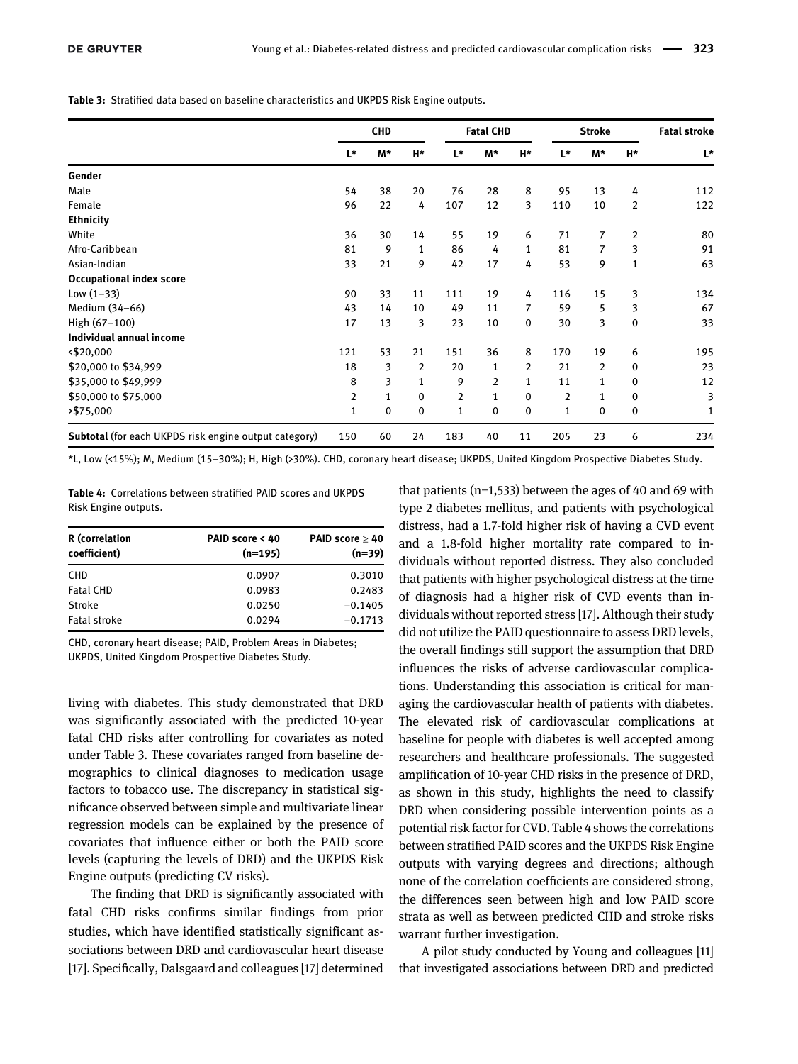<span id="page-4-0"></span>Table 3: Stratified data based on baseline characteristics and UKPDS Risk Engine outputs.

|                                                              | <b>CHD</b> |    | <b>Fatal CHD</b> |                | <b>Stroke</b> |                | <b>Fatal stroke</b> |    |              |     |
|--------------------------------------------------------------|------------|----|------------------|----------------|---------------|----------------|---------------------|----|--------------|-----|
|                                                              | L*         | M* | H*               | L*             | M*            | H*             | L*                  | M* | H*           | L*  |
| Gender                                                       |            |    |                  |                |               |                |                     |    |              |     |
| Male                                                         | 54         | 38 | 20               | 76             | 28            | 8              | 95                  | 13 | 4            | 112 |
| Female                                                       | 96         | 22 | 4                | 107            | 12            | 3              | 110                 | 10 | 2            | 122 |
| <b>Ethnicity</b>                                             |            |    |                  |                |               |                |                     |    |              |     |
| White                                                        | 36         | 30 | 14               | 55             | 19            | 6              | 71                  | 7  | 2            | 80  |
| Afro-Caribbean                                               | 81         | 9  | 1                | 86             | 4             | 1              | 81                  | 7  | 3            | 91  |
| Asian-Indian                                                 | 33         | 21 | 9                | 42             | 17            | 4              | 53                  | 9  | $\mathbf{1}$ | 63  |
| <b>Occupational index score</b>                              |            |    |                  |                |               |                |                     |    |              |     |
| Low $(1-33)$                                                 | 90         | 33 | 11               | 111            | 19            | 4              | 116                 | 15 | 3            | 134 |
| Medium (34-66)                                               | 43         | 14 | 10               | 49             | 11            | 7              | 59                  | 5  | 3            | 67  |
| High (67-100)                                                | 17         | 13 | 3                | 23             | 10            | $\Omega$       | 30                  | 3  | $\mathbf 0$  | 33  |
| Individual annual income                                     |            |    |                  |                |               |                |                     |    |              |     |
| < \$20,000                                                   | 121        | 53 | 21               | 151            | 36            | 8              | 170                 | 19 | 6            | 195 |
| \$20,000 to \$34,999                                         | 18         | 3  | $\overline{2}$   | 20             | $\mathbf{1}$  | $\overline{2}$ | 21                  | 2  | 0            | 23  |
| \$35,000 to \$49,999                                         | 8          | 3  | 1                | 9              | 2             | $\mathbf{1}$   | 11                  | 1  | 0            | 12  |
| \$50,000 to \$75,000                                         | 2          | 1  | 0                | $\overline{2}$ | 1             | 0              | 2                   | 1  | 0            | 3   |
| $>$ \$75,000                                                 | 1          | 0  | $\mathbf 0$      | 1              | 0             | 0              | 1                   | 0  | $\mathbf 0$  | 1   |
| <b>Subtotal</b> (for each UKPDS risk engine output category) | 150        | 60 | 24               | 183            | 40            | 11             | 205                 | 23 | 6            | 234 |

\*L, Low (<15%); M, Medium (15-30%); H, High (>30%). CHD, coronary heart disease; UKPDS, United Kingdom Prospective Diabetes Study.

<span id="page-4-1"></span>Table 4: Correlations between stratified PAID scores and UKPDS Risk Engine outputs.

| <b>R</b> (correlation<br>coefficient) | PAID score < 40<br>$(n=195)$ | PAID score $\geq 40$<br>$(n=39)$ |
|---------------------------------------|------------------------------|----------------------------------|
| <b>CHD</b>                            | 0.0907                       | 0.3010                           |
| <b>Fatal CHD</b>                      | 0.0983                       | 0.2483                           |
| <b>Stroke</b>                         | 0.0250                       | $-0.1405$                        |
| <b>Fatal stroke</b>                   | 0.0294                       | $-0.1713$                        |

CHD, coronary heart disease; PAID, Problem Areas in Diabetes; UKPDS, United Kingdom Prospective Diabetes Study.

living with diabetes. This study demonstrated that DRD was significantly associated with the predicted 10-year fatal CHD risks after controlling for covariates as noted under [Table 3.](#page-4-0) These covariates ranged from baseline demographics to clinical diagnoses to medication usage factors to tobacco use. The discrepancy in statistical significance observed between simple and multivariate linear regression models can be explained by the presence of covariates that influence either or both the PAID score levels (capturing the levels of DRD) and the UKPDS Risk Engine outputs (predicting CV risks).

The finding that DRD is significantly associated with fatal CHD risks confirms similar findings from prior studies, which have identified statistically significant associations between DRD and cardiovascular heart disease [[17](#page-7-12)]. Specifically, Dalsgaard and colleagues [\[17\]](#page-7-12) determined that patients ( $n=1,533$ ) between the ages of 40 and 69 with type 2 diabetes mellitus, and patients with psychological distress, had a 1.7-fold higher risk of having a CVD event and a 1.8-fold higher mortality rate compared to individuals without reported distress. They also concluded that patients with higher psychological distress at the time of diagnosis had a higher risk of CVD events than individuals without reported stress [\[17\]](#page-7-12). Although their study did not utilize the PAID questionnaire to assess DRD levels, the overall findings still support the assumption that DRD influences the risks of adverse cardiovascular complications. Understanding this association is critical for managing the cardiovascular health of patients with diabetes. The elevated risk of cardiovascular complications at baseline for people with diabetes is well accepted among researchers and healthcare professionals. The suggested amplification of 10-year CHD risks in the presence of DRD, as shown in this study, highlights the need to classify DRD when considering possible intervention points as a potential risk factor for CVD. [Table 4](#page-5-0) shows the correlations between stratified PAID scores and the UKPDS Risk Engine outputs with varying degrees and directions; although none of the correlation coefficients are considered strong, the differences seen between high and low PAID score strata as well as between predicted CHD and stroke risks warrant further investigation.

A pilot study conducted by Young and colleagues [[11](#page-7-6)] that investigated associations between DRD and predicted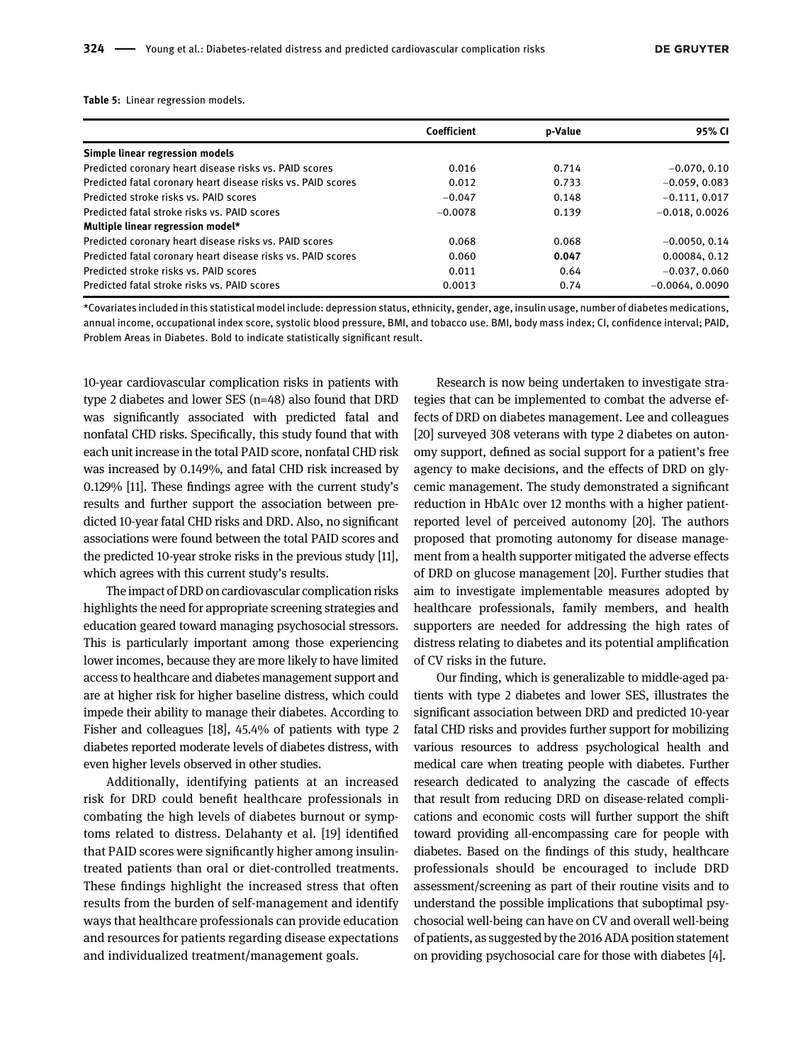<span id="page-5-0"></span>Table 5: Linear regression models.

|                                                              | Coefficient | p-Value | 95% CI            |
|--------------------------------------------------------------|-------------|---------|-------------------|
| Simple linear regression models                              |             |         |                   |
| Predicted coronary heart disease risks vs. PAID scores       | 0.016       | 0.714   | $-0.070, 0.10$    |
| Predicted fatal coronary heart disease risks vs. PAID scores | 0.012       | 0.733   | $-0.059, 0.083$   |
| Predicted stroke risks vs. PAID scores                       | $-0.047$    | 0.148   | $-0.111, 0.017$   |
| Predicted fatal stroke risks vs. PAID scores                 | $-0.0078$   | 0.139   | $-0.018, 0.0026$  |
| Multiple linear regression model*                            |             |         |                   |
| Predicted coronary heart disease risks vs. PAID scores       | 0.068       | 0.068   | $-0.0050, 0.14$   |
| Predicted fatal coronary heart disease risks vs. PAID scores | 0.060       | 0.047   | 0.00084, 0.12     |
| Predicted stroke risks vs. PAID scores                       | 0.011       | 0.64    | $-0.037, 0.060$   |
| Predicted fatal stroke risks vs. PAID scores                 | 0.0013      | 0.74    | $-0.0064, 0.0090$ |

\*Covariates included in this statistical model include: depression status, ethnicity, gender, age, insulin usage, number of diabetes medications, annual income, occupational index score, systolic blood pressure, BMI, and tobacco use. BMI, body mass index; CI, confidence interval; PAID, Problem Areas in Diabetes. Bold to indicate statistically significant result.

10-year cardiovascular complication risks in patients with type 2 diabetes and lower SES (n=48) also found that DRD was significantly associated with predicted fatal and nonfatal CHD risks. Specifically, this study found that with each unit increase in the total PAID score, nonfatal CHD risk was increased by 0.149%, and fatal CHD risk increased by 0.129% [\[11\]](#page-7-6). These findings agree with the current study's results and further support the association between predicted 10-year fatal CHD risks and DRD. Also, no significant associations were found between the total PAID scores and the predicted 10-year stroke risks in the previous study [[11](#page-7-6)], which agrees with this current study's results.

The impact of DRD on cardiovascular complication risks highlights the need for appropriate screening strategies and education geared toward managing psychosocial stressors. This is particularly important among those experiencing lower incomes, because they are more likely to have limited access to healthcare and diabetes management support and are at higher risk for higher baseline distress, which could impede their ability to manage their diabetes. According to Fisher and colleagues [\[18\]](#page-7-13), 45.4% of patients with type 2 diabetes reported moderate levels of diabetes distress, with even higher levels observed in other studies.

Additionally, identifying patients at an increased risk for DRD could benefit healthcare professionals in combating the high levels of diabetes burnout or symptoms related to distress. Delahanty et al. [[19\]](#page-7-14) identified that PAID scores were significantly higher among insulintreated patients than oral or diet-controlled treatments. These findings highlight the increased stress that often results from the burden of self-management and identify ways that healthcare professionals can provide education and resources for patients regarding disease expectations and individualized treatment/management goals.

Research is now being undertaken to investigate strategies that can be implemented to combat the adverse effects of DRD on diabetes management. Lee and colleagues [[20](#page-7-15)] surveyed 308 veterans with type 2 diabetes on autonomy support, defined as social support for a patient's free agency to make decisions, and the effects of DRD on glycemic management. The study demonstrated a significant reduction in HbA1c over 12 months with a higher patientreported level of perceived autonomy [[20](#page-7-15)]. The authors proposed that promoting autonomy for disease management from a health supporter mitigated the adverse effects of DRD on glucose management [\[20\]](#page-7-15). Further studies that aim to investigate implementable measures adopted by healthcare professionals, family members, and health supporters are needed for addressing the high rates of distress relating to diabetes and its potential amplification of CV risks in the future.

Our finding, which is generalizable to middle-aged patients with type 2 diabetes and lower SES, illustrates the significant association between DRD and predicted 10-year fatal CHD risks and provides further support for mobilizing various resources to address psychological health and medical care when treating people with diabetes. Further research dedicated to analyzing the cascade of effects that result from reducing DRD on disease-related complications and economic costs will further support the shift toward providing all-encompassing care for people with diabetes. Based on the findings of this study, healthcare professionals should be encouraged to include DRD assessment/screening as part of their routine visits and to understand the possible implications that suboptimal psychosocial well-being can have on CV and overall well-being of patients, as suggested by the 2016 ADA position statement on providing psychosocial care for those with diabetes [[4\]](#page-6-3).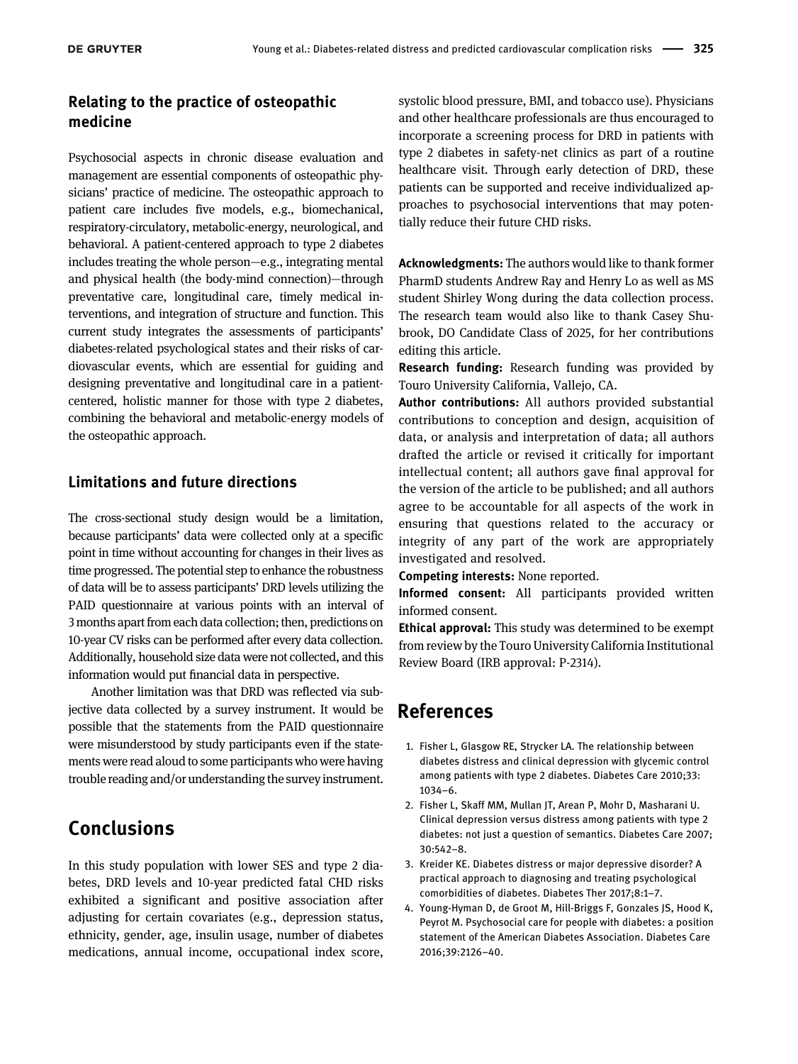### Relating to the practice of osteopathic medicine

Psychosocial aspects in chronic disease evaluation and management are essential components of osteopathic physicians' practice of medicine. The osteopathic approach to patient care includes five models, e.g., biomechanical, respiratory-circulatory, metabolic-energy, neurological, and behavioral. A patient-centered approach to type 2 diabetes includes treating the whole person—e.g., integrating mental and physical health (the body-mind connection)—through preventative care, longitudinal care, timely medical interventions, and integration of structure and function. This current study integrates the assessments of participants' diabetes-related psychological states and their risks of cardiovascular events, which are essential for guiding and designing preventative and longitudinal care in a patientcentered, holistic manner for those with type 2 diabetes, combining the behavioral and metabolic-energy models of the osteopathic approach.

### Limitations and future directions

The cross-sectional study design would be a limitation, because participants' data were collected only at a specific point in time without accounting for changes in their lives as time progressed. The potential step to enhance the robustness of data will be to assess participants' DRD levels utilizing the PAID questionnaire at various points with an interval of 3 months apart from each data collection; then, predictions on 10-year CV risks can be performed after every data collection. Additionally, household size data were not collected, and this information would put financial data in perspective.

Another limitation was that DRD was reflected via subjective data collected by a survey instrument. It would be possible that the statements from the PAID questionnaire were misunderstood by study participants even if the statements were read aloud to some participants who were having trouble reading and/or understanding the survey instrument.

## Conclusions

In this study population with lower SES and type 2 diabetes, DRD levels and 10-year predicted fatal CHD risks exhibited a significant and positive association after adjusting for certain covariates (e.g., depression status, ethnicity, gender, age, insulin usage, number of diabetes medications, annual income, occupational index score,

systolic blood pressure, BMI, and tobacco use). Physicians and other healthcare professionals are thus encouraged to incorporate a screening process for DRD in patients with type 2 diabetes in safety-net clinics as part of a routine healthcare visit. Through early detection of DRD, these patients can be supported and receive individualized approaches to psychosocial interventions that may potentially reduce their future CHD risks.

Acknowledgments: The authors would like to thank former PharmD students Andrew Ray and Henry Lo as well as MS student Shirley Wong during the data collection process. The research team would also like to thank Casey Shubrook, DO Candidate Class of 2025, for her contributions editing this article.

Research funding: Research funding was provided by Touro University California, Vallejo, CA.

Author contributions: All authors provided substantial contributions to conception and design, acquisition of data, or analysis and interpretation of data; all authors drafted the article or revised it critically for important intellectual content; all authors gave final approval for the version of the article to be published; and all authors agree to be accountable for all aspects of the work in ensuring that questions related to the accuracy or integrity of any part of the work are appropriately investigated and resolved.

Competing interests: None reported.

Informed consent: All participants provided written informed consent.

Ethical approval: This study was determined to be exempt from review by the Touro University California Institutional Review Board (IRB approval: P-2314).

### References

- <span id="page-6-0"></span>1. Fisher L, Glasgow RE, Strycker LA. The relationship between diabetes distress and clinical depression with glycemic control among patients with type 2 diabetes. Diabetes Care 2010;33: 1034–6.
- <span id="page-6-1"></span>2. Fisher L, Skaff MM, Mullan JT, Arean P, Mohr D, Masharani U. Clinical depression versus distress among patients with type 2 diabetes: not just a question of semantics. Diabetes Care 2007; 30:542–8.
- <span id="page-6-2"></span>3. Kreider KE. Diabetes distress or major depressive disorder? A practical approach to diagnosing and treating psychological comorbidities of diabetes. Diabetes Ther 2017;8:1–7.
- <span id="page-6-3"></span>4. Young-Hyman D, de Groot M, Hill-Briggs F, Gonzales JS, Hood K, Peyrot M. Psychosocial care for people with diabetes: a position statement of the American Diabetes Association. Diabetes Care 2016;39:2126–40.